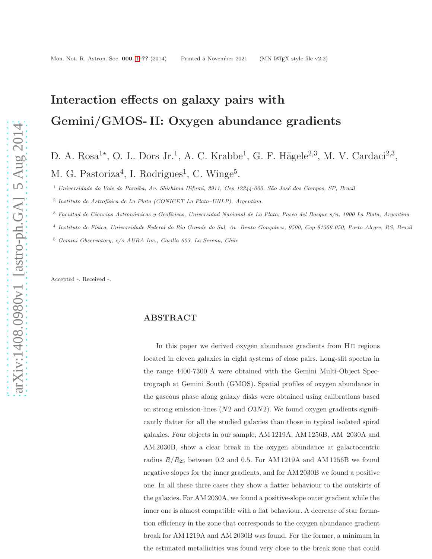# <span id="page-0-0"></span>Interaction effects on galaxy pairs with Gemini/GMOS- II: Oxygen abundance gradients

# D. A. Rosa<sup>1\*</sup>, O. L. Dors Jr.<sup>1</sup>, A. C. Krabbe<sup>1</sup>, G. F. Hägele<sup>2,3</sup>, M. V. Cardaci<sup>2,3</sup>, M. G. Pastoriza<sup>4</sup>, I. Rodrigues<sup>1</sup>, C. Winge<sup>5</sup>.

<sup>1</sup> *Universidade do Vale do Para´ıba, Av. Shishima Hifumi, 2911, Cep 12244-000, S˜ao Jos´e dos Campos, SP, Brazil*

<sup>2</sup> Instituto de Astrofísica de La Plata (CONICET La Plata–UNLP), Argentina.

<sup>3</sup> *Facultad de Ciencias Astron´omicas y Geof´ısicas, Universidad Nacional de La Plata, Paseo del Bosque s/n, 1900 La Plata, Argentina*

4 *Instituto de F´ısica, Universidade Federal do Rio Grande do Sul, Av. Bento Gon¸calves, 9500, Cep 91359-050, Porto Alegre, RS, Brazil*

<sup>5</sup> *Gemini Observatory, c/o AURA Inc., Casilla 603, La Serena, Chile*

Accepted -. Received -.

# ABSTRACT

In this paper we derived oxygen abundance gradients from H<sub>II</sub> regions located in eleven galaxies in eight systems of close pairs. Long-slit spectra in the range  $4400-7300$  Å were obtained with the Gemini Multi-Object Spectrograph at Gemini South (GMOS). Spatial profiles of oxygen abundance in the gaseous phase along galaxy disks were obtained using calibrations based on strong emission-lines  $(N2 \text{ and } O3N2)$ . We found oxygen gradients significantly flatter for all the studied galaxies than those in typical isolated spiral galaxies. Four objects in our sample, AM 1219A, AM 1256B, AM 2030A and AM 2030B, show a clear break in the oxygen abundance at galactocentric radius  $R/R_{25}$  between 0.2 and 0.5. For AM 1219A and AM 1256B we found negative slopes for the inner gradients, and for AM 2030B we found a positive one. In all these three cases they show a flatter behaviour to the outskirts of the galaxies. For AM 2030A, we found a positive-slope outer gradient while the inner one is almost compatible with a flat behaviour. A decrease of star formation efficiency in the zone that corresponds to the oxygen abundance gradient break for AM 1219A and AM 2030B was found. For the former, a minimum in the estimated metallicities was found very close to the break zone that could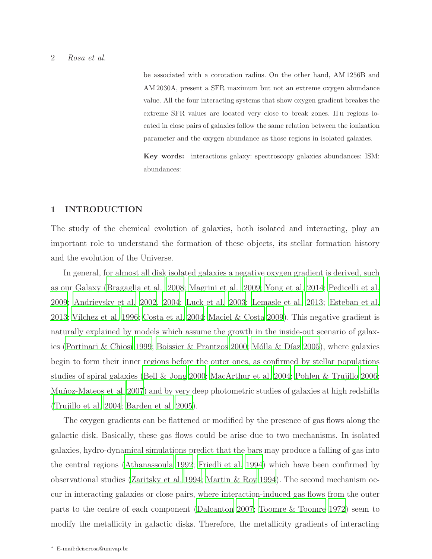be associated with a corotation radius. On the other hand, AM 1256B and AM 2030A, present a SFR maximum but not an extreme oxygen abundance value. All the four interacting systems that show oxygen gradient breakes the extreme SFR values are located very close to break zones. H<sub>II</sub> regions located in close pairs of galaxies follow the same relation between the ionization parameter and the oxygen abundance as those regions in isolated galaxies.

Key words: interactions galaxy: spectroscopy galaxies abundances: ISM: abundances:

# 1 INTRODUCTION

The study of the chemical evolution of galaxies, both isolated and interacting, play an important role to understand the formation of these objects, its stellar formation history and the evolution of the Universe.

In general, for almost all disk isolated galaxies a negative oxygen gradient is derived, such as our Galaxy [\(Bragaglia et al. 2008;](#page-26-0) [Magrini et al. 2009;](#page-27-0) [Yong et al. 2014;](#page-29-0) [Pedicelli et al.](#page-28-0) [2009;](#page-28-0) [Andrievsky et al. 2002,](#page-26-1) [2004;](#page-26-2) [Luck et al. 2003](#page-27-1); [Lemasle et al.](#page-27-2) [2013;](#page-27-2) [Esteban et al.](#page-26-3) [2013;](#page-26-3) Vílchez et al. 1996; [Costa et al. 2004;](#page-26-4) [Maciel & Costa 2009\)](#page-27-3). This negative gradient is naturally explained by models which assume the growth in the inside-out scenario of galax-ies [\(Portinari & Chiosi 1999](#page-28-1); [Boissier & Prantzos 2000](#page-26-5); Mólla & Díaz [2005](#page-28-2)), where galaxies begin to form their inner regions before the outer ones, as confirmed by stellar populations studies of spiral galaxies [\(Bell & Jong 2000](#page-26-6); [MacArthur et al. 2004;](#page-27-4) [Pohlen & Trujillo 2006;](#page-28-3) Muñoz-Mateos et al. 2007) and by very deep photometric studies of galaxies at high redshifts [\(Trujillo et al. 2004;](#page-29-2) [Barden et al. 2005\)](#page-26-7).

The oxygen gradients can be flattened or modified by the presence of gas flows along the galactic disk. Basically, these gas flows could be arise due to two mechanisms. In isolated galaxies, hydro-dynamical simulations predict that the bars may produce a falling of gas into the central regions [\(Athanassoula 1992;](#page-26-8) [Friedli et al. 1994\)](#page-27-5) which have been confirmed by observational studies [\(Zaritsky et al. 1994;](#page-29-3) [Martin & Roy 1994](#page-27-6)). The second mechanism occur in interacting galaxies or close pairs, where interaction-induced gas flows from the outer parts to the centre of each component [\(Dalcanton 2007](#page-26-9); Toomre [& Toomre 1972\)](#page-29-4) seem to modify the metallicity in galactic disks. Therefore, the metallicity gradients of interacting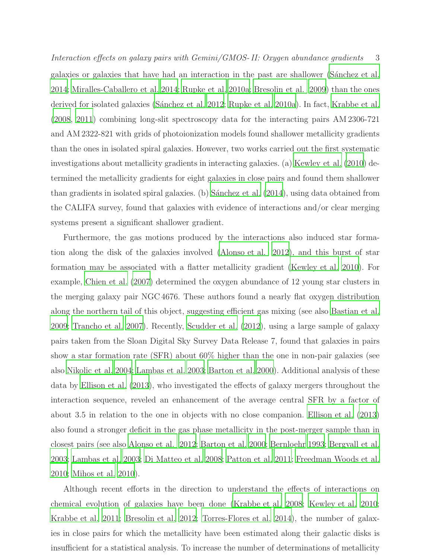Interaction effects on galaxy pairs with Gemini/GMOS- II: Oxygen abundance gradients 3 galaxies or galaxies that have had an interaction in the past are shallower (Sanchez et al. [2014;](#page-28-5) [Miralles-Caballero et al. 2014;](#page-27-7) [Rupke et al. 2010a;](#page-28-6) [Bresolin et al. 2009](#page-26-10)) than the ones derived for isolated galaxies (Sánchez et al. 2012; [Rupke et al. 2010a](#page-28-6)). In fact, [Krabbe et al.](#page-27-8) [\(2008,](#page-27-8) [2011\)](#page-27-9) combining long-slit spectroscopy data for the interacting pairs AM 2306-721 and AM 2322-821 with grids of photoionization models found shallower metallicity gradients than the ones in isolated spiral galaxies. However, two works carried out the first systematic investigations about metallicity gradients in interacting galaxies. (a) [Kewley et al. \(2010](#page-27-10)) determined the metallicity gradients for eight galaxies in close pairs and found them shallower than gradients in isolated spiral galaxies. (b) Sánchez et al.  $(2014)$ , using data obtained from the CALIFA survey, found that galaxies with evidence of interactions and/or clear merging systems present a significant shallower gradient.

Furthermore, the gas motions produced by the interactions also induced star formation along the disk of the galaxies involved [\(Alonso et al. 2012\)](#page-25-0), and this burst of star formation may be associated with a flatter metallicity gradient [\(Kewley et al. 2010](#page-27-10)). For example, [Chien et al. \(2007\)](#page-26-11) determined the oxygen abundance of 12 young star clusters in the merging galaxy pair NGC 4676. These authors found a nearly flat oxygen distribution along the northern tail of this object, suggesting efficient gas mixing (see also [Bastian et al.](#page-26-12) [2009;](#page-26-12) [Trancho et al. 2007\)](#page-29-5). Recently, [Scudder et al. \(2012\)](#page-28-8), using a large sample of galaxy pairs taken from the Sloan Digital Sky Survey Data Release 7, found that galaxies in pairs show a star formation rate (SFR) about 60% higher than the one in non-pair galaxies (see also [Nikolic et al. 2004;](#page-28-9) [Lambas et al. 2003](#page-28-10); [Barton et al. 2000\)](#page-26-13). Additional analysis of these data by [Ellison et al. \(2013](#page-26-14)), who investigated the effects of galaxy mergers throughout the interaction sequence, reveled an enhancement of the average central SFR by a factor of about 3.5 in relation to the one in objects with no close companion. [Ellison et al. \(2013\)](#page-26-14) also found a stronger deficit in the gas phase metallicity in the post-merger sample than in closest pairs (see also [Alonso et al. 2012;](#page-25-0) [Barton et al. 2000;](#page-26-13) [Bernloehr 1993;](#page-26-15) [Bergvall et al.](#page-26-16) [2003;](#page-26-16) [Lambas et al. 2003](#page-28-10); [Di Matteo et al. 2008;](#page-26-17) [Patton et al. 2011](#page-28-11); [Freedman Woods et al.](#page-26-18) [2010;](#page-26-18) [Mihos et al. 2010\)](#page-27-11).

Although recent efforts in the direction to understand the effects of interactions on chemical evolution of galaxies have been done [\(Krabbe et al. 2008;](#page-27-8) [Kewley et al. 2010;](#page-27-10) [Krabbe et al. 2011;](#page-27-9) [Bresolin et al. 2012](#page-26-19); [Torres-Flores et al. 2014](#page-29-6)), the number of galaxies in close pairs for which the metallicity have been estimated along their galactic disks is insufficient for a statistical analysis. To increase the number of determinations of metallicity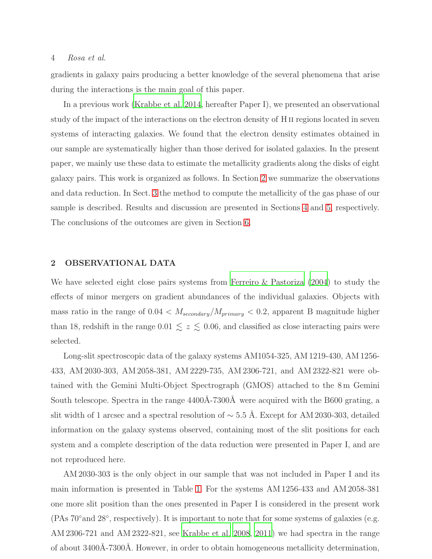# 4 Rosa et al.

gradients in galaxy pairs producing a better knowledge of the several phenomena that arise during the interactions is the main goal of this paper.

In a previous work [\(Krabbe et al. 2014,](#page-27-12) hereafter Paper I), we presented an observational study of the impact of the interactions on the electron density of H<sub>II</sub> regions located in seven systems of interacting galaxies. We found that the electron density estimates obtained in our sample are systematically higher than those derived for isolated galaxies. In the present paper, we mainly use these data to estimate the metallicity gradients along the disks of eight galaxy pairs. This work is organized as follows. In Section [2](#page-3-0) we summarize the observations and data reduction. In Sect. [3](#page-7-0) the method to compute the metallicity of the gas phase of our sample is described. Results and discussion are presented in Sections [4](#page-9-0) and [5,](#page-16-0) respectively. The conclusions of the outcomes are given in Section [6.](#page-24-0)

#### <span id="page-3-0"></span>2 OBSERVATIONAL DATA

We have selected eight close pairs systems from [Ferreiro & Pastoriza \(2004](#page-26-20)) to study the effects of minor mergers on gradient abundances of the individual galaxies. Objects with mass ratio in the range of  $0.04 < M_{secondary}/M_{primary} < 0.2$ , apparent B magnitude higher than 18, redshift in the range 0.01  $\lesssim z \lesssim 0.06$ , and classified as close interacting pairs were selected.

Long-slit spectroscopic data of the galaxy systems AM1054-325, AM 1219-430, AM 1256- 433, AM 2030-303, AM 2058-381, AM 2229-735, AM 2306-721, and AM 2322-821 were obtained with the Gemini Multi-Object Spectrograph (GMOS) attached to the 8 m Gemini South telescope. Spectra in the range  $4400\text{\AA}-7300\text{\AA}$  were acquired with the B600 grating, a slit width of 1 arcsec and a spectral resolution of  $\sim$  5.5 Å. Except for AM 2030-303, detailed information on the galaxy systems observed, containing most of the slit positions for each system and a complete description of the data reduction were presented in Paper I, and are not reproduced here.

AM 2030-303 is the only object in our sample that was not included in Paper I and its main information is presented in Table [1.](#page-5-0) For the systems AM 1256-433 and AM 2058-381 one more slit position than the ones presented in Paper I is considered in the present work (PAs 70◦and 28◦ , respectively). It is important to note that for some systems of galaxies (e.g. AM 2306-721 and AM 2322-821, see [Krabbe et al. 2008](#page-27-8), [2011](#page-27-9)) we had spectra in the range of about 3400Å-7300Å. However, in order to obtain homogeneous metallicity determination,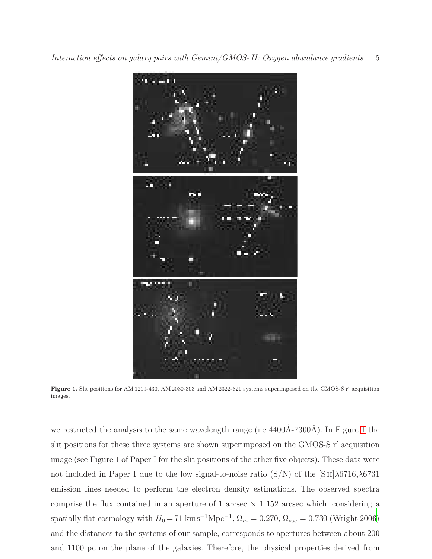

<span id="page-4-0"></span>Figure 1. Slit positions for AM 1219-430, AM 2030-303 and AM 2322-821 systems superimposed on the GMOS-S r′ acquisition images.

we restricted the analysis to the same wavelength range (i.e.  $4400\text{\AA}-7300\text{\AA}$ ). In Figure [1](#page-4-0) the slit positions for these three systems are shown superimposed on the GMOS-S r′ acquisition image (see Figure 1 of Paper I for the slit positions of the other five objects). These data were not included in Paper I due to the low signal-to-noise ratio  $(S/N)$  of the  $[S II] \lambda 6716, \lambda 6731$ emission lines needed to perform the electron density estimations. The observed spectra comprise the flux contained in an aperture of 1 arcsec  $\times$  1.152 arcsec which, considering a spatially flat cosmology with  $H_0 = 71 \text{ km s}^{-1} \text{Mpc}^{-1}$ ,  $\Omega_m = 0.270$ ,  $\Omega_{\text{vac}} = 0.730$  [\(Wright 2006\)](#page-29-7) and the distances to the systems of our sample, corresponds to apertures between about 200 and 1100 pc on the plane of the galaxies. Therefore, the physical properties derived from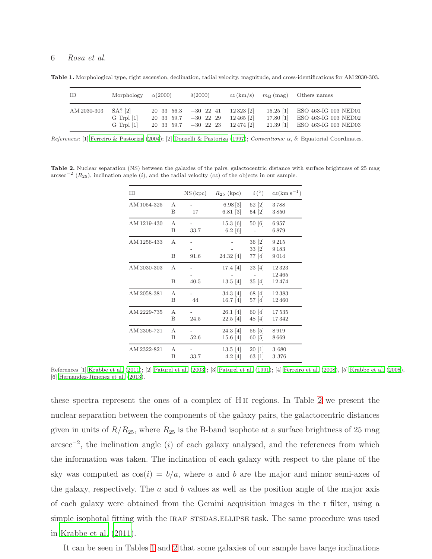#### 6 Rosa et al.

Table 1. Morphological type, right ascension, declination, radial velocity, magnitude, and cross-identifications for AM 2030-303.

<span id="page-5-0"></span>

| - ID                  | Morphology $\alpha(2000)$        | $\delta(2000)$                                                                                                                                                  |                         | $cz(km/s)$ $m_B(mag)$ Others names                                                                 |
|-----------------------|----------------------------------|-----------------------------------------------------------------------------------------------------------------------------------------------------------------|-------------------------|----------------------------------------------------------------------------------------------------|
| $AM 2030-303$ SA? [2] | $G$ Trpl $[1]$<br>$G$ Trpl $[1]$ | $20\quad33\quad56.3\quad -30\quad22\quad41$<br>$20\quad33\quad59.7\quad -30\quad22\quad29$<br>$20\quad 33\quad 59.7\quad -30\quad 22\quad 23\quad 12\ 474\ [2]$ | 12 323 [2]<br>12465 [2] | 15.25 [1] ESO 463-IG 003 NED01<br>17.80 [1] ESO 463-IG 003 NED02<br>21.39 [1] ESO 463-IG 003 NED03 |

*References:* [1] [Ferreiro & Pastoriza \(2004\)](#page-26-20); [2] [Donzelli & Pastoriza \(1997](#page-26-21)); *Conventions:* α, δ: Equatorial Coordinates.

<span id="page-5-1"></span>Table 2. Nuclear separation (NS) between the galaxies of the pairs, galactocentric distance with surface brightness of 25 mag  $\arcsec^{-2}$  ( $R_{25}$ ), inclination angle (i), and the radial velocity (cz) of the objects in our sample.

| <b>ID</b>   |        | NS(kpc) | $R_{25}$ (kpc)                | $i^{\circ}$                | $cz(\text{km s}^{-1})$  |
|-------------|--------|---------|-------------------------------|----------------------------|-------------------------|
| AM 1054-325 | A<br>B | 17      | 6.98[3]<br>$6.81$ [3]         | $62 \; [2]$<br>54 [2]      | 3788<br>3850            |
| AM 1219-430 | A<br>Β | 33.7    | $15.3 \; [6]$<br>$6.2 \; [6]$ | 50 [6]                     | 6957<br>6879            |
| AM 1256-433 | A<br>B | 91.6    | 24.32 [4]                     | 36 [2]<br>33 [2]<br>77 [4] | 9215<br>9183<br>9014    |
| AM 2030-303 | A<br>B | 40.5    | 17.4 $ 4 $<br>$13.5 \; [4]$   | 23 [4]<br>35[4]            | 12323<br>12465<br>12474 |
| AM 2058-381 | A<br>B | 44      | 34.3 4<br>$16.7 \; [4]$       | 68 [4]<br>57 [4]           | 12383<br>12460          |
| AM 2229-735 | A<br>Β | 24.5    | $26.1 \; [4]$<br>$22.5$ [4]   | 60 [4]<br>48 [4]           | 17535<br>17342          |
| AM 2306-721 | A<br>B | 52.6    | 24.3 [4]<br>$15.6 \; [4]$     | 56 [5]<br>60 [5]           | 8919<br>8669            |
| AM 2322-821 | A<br>B | 33.7    | $13.5 \; [4]$<br>$4.2 \; [4]$ | 20[1]<br>63 [1]            | 3680<br>3 376           |

References [1] [Krabbe et al. \(2011\)](#page-27-9); [2] [Paturel et al. \(2003\)](#page-28-12); [3] [Paturel et al. \(1991\)](#page-28-13); [4] [Ferreiro et al. \(2008\)](#page-26-22), [5] [Krabbe et al. \(2008](#page-27-8)), [6] [Hernandez-Jimenez et al. \(2013](#page-27-13)).

these spectra represent the ones of a complex of H ii regions. In Table [2](#page-5-1) we present the nuclear separation between the components of the galaxy pairs, the galactocentric distances given in units of  $R/R_{25}$ , where  $R_{25}$  is the B-band isophote at a surface brightness of 25 mag  $\arcsc^{-2}$ , the inclination angle (i) of each galaxy analysed, and the references from which the information was taken. The inclination of each galaxy with respect to the plane of the sky was computed as  $cos(i) = b/a$ , where a and b are the major and minor semi-axes of the galaxy, respectively. The  $a$  and  $b$  values as well as the position angle of the major axis of each galaxy were obtained from the Gemini acquisition images in the r filter, using a simple isophotal fitting with the IRAF STSDAS. ELLIPSE task. The same procedure was used in [Krabbe et al. \(2011\)](#page-27-9).

It can be seen in Tables [1](#page-5-0) and [2](#page-5-1) that some galaxies of our sample have large inclinations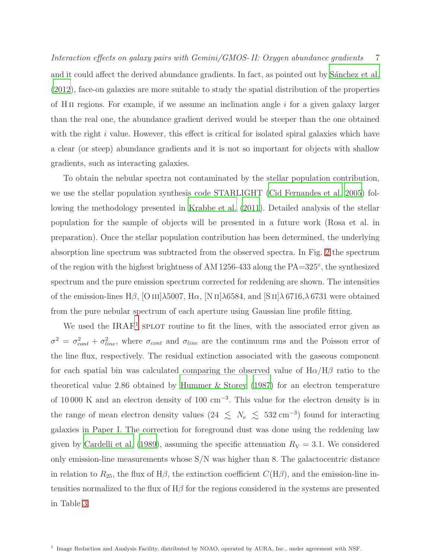Interaction effects on galaxy pairs with Gemini/GMOS- II: Oxygen abundance gradients 7 and it could affect the derived abundance gradients. In fact, as pointed out by Sánchez et al. [\(2012\)](#page-28-7), face-on galaxies are more suitable to study the spatial distribution of the properties of H<sub>II</sub> regions. For example, if we assume an inclination angle  $i$  for a given galaxy larger than the real one, the abundance gradient derived would be steeper than the one obtained with the right  $i$  value. However, this effect is critical for isolated spiral galaxies which have a clear (or steep) abundance gradients and it is not so important for objects with shallow gradients, such as interacting galaxies.

To obtain the nebular spectra not contaminated by the stellar population contribution, we use the stellar population synthesis code STARLIGHT [\(Cid Fernandes et al. 2005\)](#page-26-23) following the methodology presented in [Krabbe et al. \(2011](#page-27-9)). Detailed analysis of the stellar population for the sample of objects will be presented in a future work (Rosa et al. in preparation). Once the stellar population contribution has been determined, the underlying absorption line spectrum was subtracted from the observed spectra. In Fig. [2](#page-7-1) the spectrum of the region with the highest brightness of AM 1256-433 along the PA=325◦ , the synthesized spectrum and the pure emission spectrum corrected for reddening are shown. The intensities of the emission-lines H $\beta$ , [O III] $\lambda$ 5007, H $\alpha$ , [N II] $\lambda$ 6584, and [S II] $\lambda$ 6716, $\lambda$ 6731 were obtained from the pure nebular spectrum of each aperture using Gaussian line profile fitting.

We used the IRAF<sup>[1](#page-6-0)</sup> SPLOT routine to fit the lines, with the associated error given as  $\sigma^2 = \sigma_{cont}^2 + \sigma_{line}^2$ , where  $\sigma_{cont}$  and  $\sigma_{line}$  are the continuum rms and the Poisson error of the line flux, respectively. The residual extinction associated with the gaseous component for each spatial bin was calculated comparing the observed value of  $H\alpha/H\beta$  ratio to the theoretical value 2.86 obtained by [Hummer & Storey \(1987\)](#page-27-14) for an electron temperature of 10 000 K and an electron density of 100 cm<sup>−</sup><sup>3</sup> . This value for the electron density is in the range of mean electron density values (24  $\lesssim N_e \lesssim 532 \text{ cm}^{-3}$ ) found for interacting galaxies in Paper I. The correction for foreground dust was done using the reddening law given by [Cardelli et al. \(1989\)](#page-26-24), assuming the specific attenuation  $R_V = 3.1$ . We considered only emission-line measurements whose  $S/N$  was higher than 8. The galactocentric distance in relation to  $R_{25}$ , the flux of H $\beta$ , the extinction coefficient  $C(H\beta)$ , and the emission-line intensities normalized to the flux of  $H\beta$  for the regions considered in the systems are presented in Table [3.](#page-7-2)

<span id="page-6-0"></span><sup>&</sup>lt;sup>1</sup> Image Reduction and Analysis Facility, distributed by NOAO, operated by AURA, Inc., under agreement with NSF.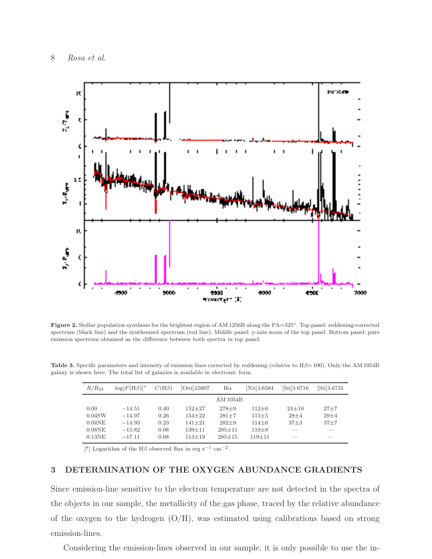

<span id="page-7-1"></span>Figure 2. Stellar population synthesis for the brightest region of AM 1256B along the PA=325◦. Top panel: reddening-corrected spectrum (black line) and the synthesized spectrum (red line). Middle panel: y-axis zoom of the top panel. Bottom panel: pure emission spectrum obtained as the difference between both spectra in top panel.

<span id="page-7-2"></span>

| $R/R_{25}$ | $\log[F(H\beta)]^*$ | $C(H\beta)$ | $[OIII]\lambda 5007$ | $H\alpha$    | $[NII]\lambda 6584$ | $\sin[\lambda 6716]$ | $\sin[\lambda 6731]$ |
|------------|---------------------|-------------|----------------------|--------------|---------------------|----------------------|----------------------|
|            |                     |             |                      | AM 1054B     |                     |                      |                      |
| 0.00       | $-14.51$            | 0.40        | $152 + 27$           | $278 + 9$    | $112 + 6$           | $24+10$              | $27 + 7$             |
| 0.04SW     | $-14.97$            | 0.26        | $154 + 22$           | $281 + 7$    | $115 + 5$           | $28 + 4$             | $29 + 4$             |
| $0.04$ NE  | $-14.93$            | 0.23        | $141 + 21$           | $282+9$      | $114\pm 6$          | $37\pm3$             | $37 + 7$             |
| $0.08$ NE  | $-15.82$            | 0.08        | $139 + 11$           | $285 \pm 11$ | $119\pm8$           |                      |                      |
| $0.13$ NE  | $-17.11$            | 0.08        | $113 \pm 19$         | $285 + 15$   | $119 + 11$          |                      |                      |

Table 3. Specific parameters and intensity of emission lines corrected by reddening (relative to Hβ= 100). Only the AM 1054B galaxy is shown here. The total list of galaxies is available in electronic form.

[\*] Logarithm of the H $\beta$  observed flux in erg s<sup>-1</sup> cm<sup>-2</sup>.

# <span id="page-7-0"></span>3 DETERMINATION OF THE OXYGEN ABUNDANCE GRADIENTS

Since emission-line sensitive to the electron temperature are not detected in the spectra of the objects in our sample, the metallicity of the gas phase, traced by the relative abundance of the oxygen to the hydrogen  $(O/H)$ , was estimated using calibrations based on strong emission-lines.

Considering the emission-lines observed in our sample, it is only possible to use the in-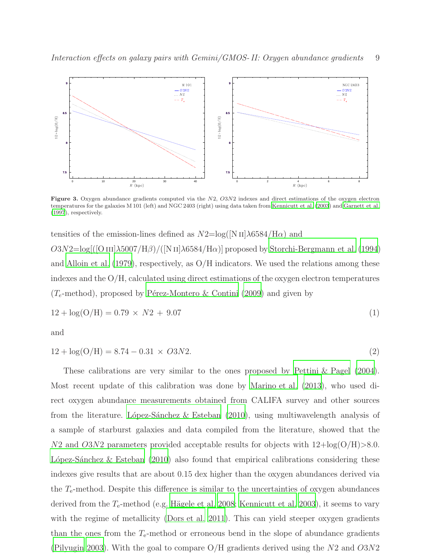

<span id="page-8-0"></span>Figure 3. Oxygen abundance gradients computed via the N2, O3N2 indexes and direct estimations of the oxygen electron temperatures for the galaxies M 101 (left) and NGC 2403 (right) using data taken from [Kennicutt et al. \(2003](#page-27-15)) and [Garnett et al.](#page-27-16) [\(1997](#page-27-16)), respectively.

tensities of the emission-lines defined as  $N2 = \log(|N \text{ II}| \lambda 6584 / \text{H}\alpha)$  and O3N2=log[([O III] $\lambda$ 5007/H $\beta$ )/([N II] $\lambda$ 6584/H $\alpha$ )] proposed by [Storchi-Bergmann et al. \(1994\)](#page-28-14) and [Alloin et al. \(1979\)](#page-25-1), respectively, as O/H indicators. We used the relations among these indexes and the  $O/H$ , calculated using direct estimations of the oxygen electron temperatures ( $T_e$ -method), proposed by Pérez-Montero & Contini (2009) and given by

<span id="page-8-1"></span>
$$
12 + \log(O/H) = 0.79 \times N2 + 9.07 \tag{1}
$$

and

<span id="page-8-2"></span>
$$
12 + \log(O/H) = 8.74 - 0.31 \times O3N2.
$$
\n(2)

These calibrations are very similar to the ones proposed by [Pettini &](#page-28-16) Pagel [\(2004\)](#page-28-16). Most recent update of this calibration was done by [Marino et al. \(2013\)](#page-27-17), who used direct oxygen abundance measurements obtained from CALIFA survey and other sources from the literature. López-Sánchez & Esteban  $(2010)$ , using multiwavelength analysis of a sample of starburst galaxies and data compiled from the literature, showed that the  $N2$  and  $O3N2$  parameters provided acceptable results for objects with  $12 + \log(O/H) > 8.0$ . L'opez-Sanchez & Esteban  $(2010)$  also found that empirical calibrations considering these indexes give results that are about 0.15 dex higher than the oxygen abundances derived via the  $T_{e}$ -method. Despite this difference is similar to the uncertainties of oxygen abundances derived from the  $T_{e}$ -method (e.g. Hägele et al. 2008; [Kennicutt et al. 2003](#page-27-15)), it seems to vary with the regime of metallicity [\(Dors et al. 2011\)](#page-26-25). This can yield steeper oxygen gradients than the ones from the  $T_e$ -method or erroneous bend in the slope of abundance gradients [\(Pilyugin 2003\)](#page-28-17). With the goal to compare  $O/H$  gradients derived using the N2 and  $O3N2$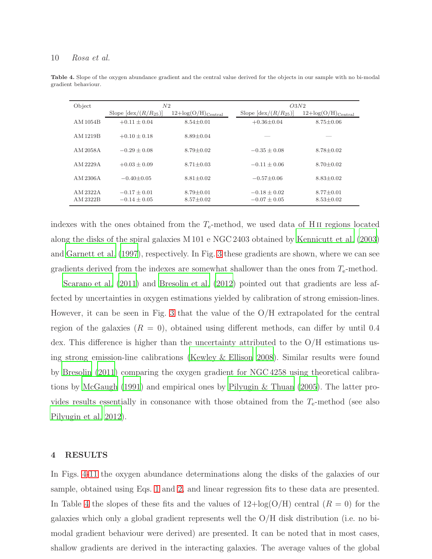#### 10 Rosa et al.

<span id="page-9-1"></span>

| Object               | N2                                 |                                   | O3N2                                 |                                                     |  |
|----------------------|------------------------------------|-----------------------------------|--------------------------------------|-----------------------------------------------------|--|
|                      | Slope $ \text{dex}/(R/R_{25}) $    | $12 + \log(O/H)_{\text{Central}}$ | Slope $ \text{dex}/(R/R_{25}) $      | $12 + \log(O)$<br>$/\mathrm{H})_{\mathrm{Central}}$ |  |
| AM 1054B             | $+0.11 \pm 0.04$                   | $8.54 \pm 0.01$                   | $+0.36\pm0.04$                       | $8.75 \pm 0.06$                                     |  |
| AM 1219B             | $+0.10 \pm 0.18$                   | $8.89 \pm 0.04$                   |                                      |                                                     |  |
| AM 2058 A            | $-0.29 + 0.08$                     | $8.79 + 0.02$                     | $-0.35 + 0.08$                       | $8.78 + 0.02$                                       |  |
| AM 2229A             | $+0.03 \pm 0.09$                   | $8.71 \pm 0.03$                   | $-0.11 + 0.06$                       | $8.70 + 0.02$                                       |  |
| AM 2306A             | $-0.40 \pm 0.05$                   | $8.81 \pm 0.02$                   | $-0.57 \pm 0.06$                     | $8.83 \pm 0.02$                                     |  |
| AM 2322A<br>AM 2322B | $-0.17 + 0.01$<br>$-0.14 \pm 0.05$ | $8.79 + 0.01$<br>$8.57 \pm 0.02$  | $-0.18 \pm 0.02$<br>$-0.07 \pm 0.05$ | $8.77 \pm 0.01$<br>$8.53 \pm 0.02$                  |  |

Table 4. Slope of the oxygen abundance gradient and the central value derived for the objects in our sample with no bi-modal gradient behaviour.

indexes with the ones obtained from the  $T_{e}$ -method, we used data of H<sub>II</sub> regions located along the disks of the spiral galaxies M 101 e NGC 2403 obtained by [Kennicutt et al. \(2003\)](#page-27-15) and [Garnett et al. \(1997](#page-27-16)), respectively. In Fig. [3](#page-8-0) these gradients are shown, where we can see gradients derived from the indexes are somewhat shallower than the ones from  $T_{e}$ -method.

[Scarano et al. \(2011\)](#page-28-18) and [Bresolin et al. \(2012](#page-26-19)) pointed out that gradients are less affected by uncertainties in oxygen estimations yielded by calibration of strong emission-lines. However, it can be seen in Fig. [3](#page-8-0) that the value of the O/H extrapolated for the central region of the galaxies  $(R = 0)$ , obtained using different methods, can differ by until 0.4 dex. This difference is higher than the uncertainty attributed to the O/H estimations using strong emission-line calibrations [\(Kewley & Ellison 2008\)](#page-27-20). Similar results were found by [Bresolin \(2011\)](#page-26-26) comparing the oxygen gradient for NGC 4258 using theoretical calibrations by [McGaugh \(1991](#page-27-21)) and empirical ones by [Pilyugin & Thuan \(2005](#page-28-19)). The latter provides results essentially in consonance with those obtained from the  $T_{e}$ -method (see also [Pilyugin et al. 2012\)](#page-28-20).

# <span id="page-9-0"></span>4 RESULTS

In Figs. [4-](#page-11-0)[11](#page-19-0) the oxygen abundance determinations along the disks of the galaxies of our sample, obtained using Eqs. [1](#page-8-1) and [2,](#page-8-2) and linear regression fits to these data are presented. In Table [4](#page-9-1) the slopes of these fits and the values of  $12 + \log(O/H)$  central  $(R = 0)$  for the galaxies which only a global gradient represents well the  $O/H$  disk distribution (i.e. no bimodal gradient behaviour were derived) are presented. It can be noted that in most cases, shallow gradients are derived in the interacting galaxies. The average values of the global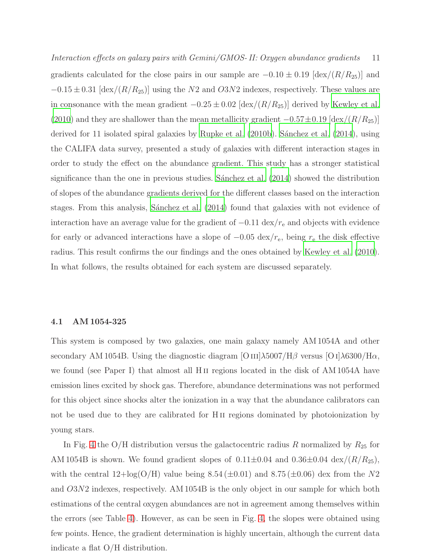Interaction effects on galaxy pairs with Gemini/GMOS- II: Oxygen abundance gradients 11 gradients calculated for the close pairs in our sample are  $-0.10 \pm 0.19$  [dex/( $R/R_{25}$ )] and  $-0.15 \pm 0.31$  [dex/( $R/R_{25}$ )] using the N2 and O3N2 indexes, respectively. These values are in consonance with the mean gradient  $-0.25 \pm 0.02$  [dex/( $R/R_{25}$ )] derived by [Kewley et al.](#page-27-10) [\(2010\)](#page-27-10) and they are shallower than the mean metallicity gradient  $-0.57\pm0.19$  [dex/ $(R/R_{25})$ ] derived for 11 isolated spiral galaxies by [Rupke et al. \(2010b\)](#page-28-21). Sánchez et al. (2014), using the CALIFA data survey, presented a study of galaxies with different interaction stages in order to study the effect on the abundance gradient. This study has a stronger statistical significance than the one in previous studies. Sanchez et al.  $(2014)$  showed the distribution of slopes of the abundance gradients derived for the different classes based on the interaction stages. From this analysis, Sánchez et al. (2014) found that galaxies with not evidence of interaction have an average value for the gradient of  $-0.11 \text{ dex}/r_e$  and objects with evidence for early or advanced interactions have a slope of  $-0.05 \text{ dex}/r_e$ , being  $r_e$  the disk effective radius. This result confirms the our findings and the ones obtained by [Kewley et al. \(2010\)](#page-27-10). In what follows, the results obtained for each system are discussed separately.

#### 4.1 AM 1054-325

This system is composed by two galaxies, one main galaxy namely AM 1054A and other secondary AM 1054B. Using the diagnostic diagram [O  $\text{III}$ ]λ5007/H $\beta$  versus [O I]λ6300/H $\alpha$ , we found (see Paper I) that almost all H<sub>II</sub> regions located in the disk of AM 1054A have emission lines excited by shock gas. Therefore, abundance determinations was not performed for this object since shocks alter the ionization in a way that the abundance calibrators can not be used due to they are calibrated for H<sub>II</sub> regions dominated by photoionization by young stars.

In Fig. [4](#page-11-0) the O/H distribution versus the galactocentric radius R normalized by  $R_{25}$  for AM 1054B is shown. We found gradient slopes of  $0.11\pm0.04$  and  $0.36\pm0.04$  dex/ $(R/R_{25})$ , with the central  $12 + \log(O/H)$  value being  $8.54 \pm 0.01$  and  $8.75 \pm 0.06$  dex from the N2 and O3N2 indexes, respectively. AM 1054B is the only object in our sample for which both estimations of the central oxygen abundances are not in agreement among themselves within the errors (see Table [4\)](#page-9-1). However, as can be seen in Fig. [4,](#page-11-0) the slopes were obtained using few points. Hence, the gradient determination is highly uncertain, although the current data indicate a flat O/H distribution.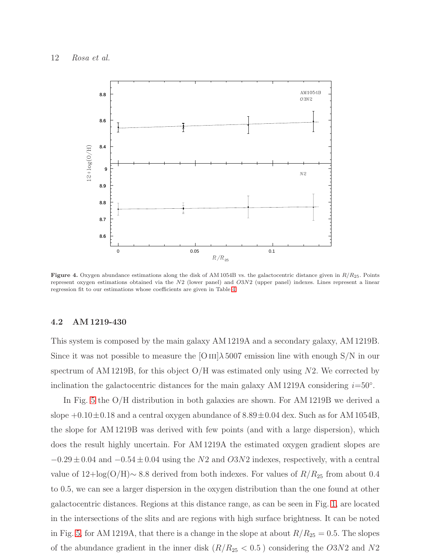

<span id="page-11-0"></span>Figure 4. Oxygen abundance estimations along the disk of AM 1054B vs. the galactocentric distance given in  $R/R_{25}$ . Points represent oxygen estimations obtained via the N2 (lower panel) and O3N2 (upper panel) indexes. Lines represent a linear regression fit to our estimations whose coefficients are given in Table [4.](#page-9-1)

#### 4.2 AM 1219-430

This system is composed by the main galaxy AM 1219A and a secondary galaxy, AM 1219B. Since it was not possible to measure the  $[O III] \lambda 5007$  emission line with enough S/N in our spectrum of AM 1219B, for this object  $O/H$  was estimated only using N2. We corrected by inclination the galactocentric distances for the main galaxy AM 1219A considering  $i=50°$ .

In Fig. [5](#page-12-0) the O/H distribution in both galaxies are shown. For AM 1219B we derived a slope  $+0.10\pm0.18$  and a central oxygen abundance of  $8.89\pm0.04$  dex. Such as for AM 1054B, the slope for AM 1219B was derived with few points (and with a large dispersion), which does the result highly uncertain. For AM 1219A the estimated oxygen gradient slopes are  $-0.29 \pm 0.04$  and  $-0.54 \pm 0.04$  using the N2 and O3N2 indexes, respectively, with a central value of  $12 + \log(O/H) \sim 8.8$  derived from both indexes. For values of  $R/R_{25}$  from about 0.4 to 0.5, we can see a larger dispersion in the oxygen distribution than the one found at other galactocentric distances. Regions at this distance range, as can be seen in Fig. [1,](#page-4-0) are located in the intersections of the slits and are regions with high surface brightness. It can be noted in Fig. [5,](#page-12-0) for AM 1219A, that there is a change in the slope at about  $R/R_{25} = 0.5$ . The slopes of the abundance gradient in the inner disk  $(R/R_{25} < 0.5)$  considering the O3N2 and N2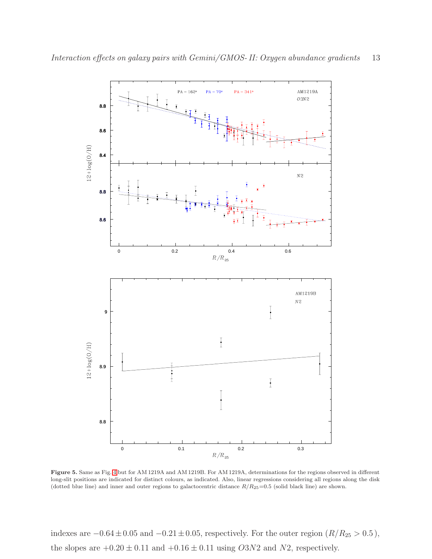

<span id="page-12-0"></span>Figure 5. Same as Fig. [4](#page-11-0) but for AM 1219A and AM 1219B. For AM 1219A, determinations for the regions observed in different long-slit positions are indicated for distinct colours, as indicated. Also, linear regressions considering all regions along the disk (dotted blue line) and inner and outer regions to galactocentric distance  $R/R_{25}=0.5$  (solid black line) are shown.

indexes are  $-0.64 \pm 0.05$  and  $-0.21 \pm 0.05$ , respectively. For the outer region ( $R/R_{25} > 0.5$ ), the slopes are  $+0.20 \pm 0.11$  and  $+0.16 \pm 0.11$  using  $O3N2$  and  $N2$ , respectively.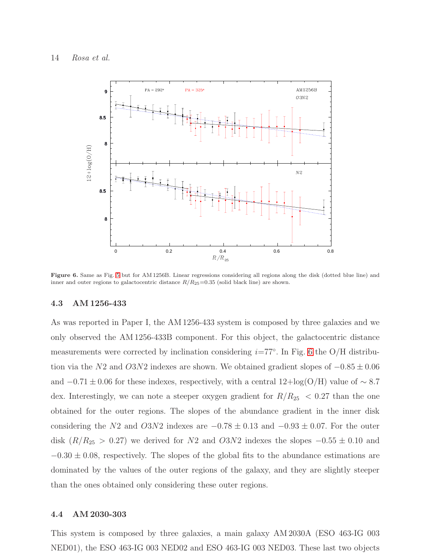

<span id="page-13-0"></span>Figure 6. Same as Fig. [5](#page-12-0) but for AM 1256B. Linear regressions considering all regions along the disk (dotted blue line) and inner and outer regions to galactocentric distance  $R/R_{25}=0.35$  (solid black line) are shown.

#### 4.3 AM 1256-433

As was reported in Paper I, the AM 1256-433 system is composed by three galaxies and we only observed the AM 1256-433B component. For this object, the galactocentric distance measurements were corrected by inclination considering  $i=77°$ . In Fig. [6](#page-13-0) the O/H distribution via the N2 and O3N2 indexes are shown. We obtained gradient slopes of  $-0.85 \pm 0.06$ and  $-0.71 \pm 0.06$  for these indexes, respectively, with a central  $12 + \log(O/H)$  value of ~ 8.7 dex. Interestingly, we can note a steeper oxygen gradient for  $R/R_{25}$  < 0.27 than the one obtained for the outer regions. The slopes of the abundance gradient in the inner disk considering the N2 and  $O3N2$  indexes are  $-0.78 \pm 0.13$  and  $-0.93 \pm 0.07$ . For the outer disk  $(R/R_{25} > 0.27)$  we derived for N2 and O3N2 indexes the slopes  $-0.55 \pm 0.10$  and  $-0.30 \pm 0.08$ , respectively. The slopes of the global fits to the abundance estimations are dominated by the values of the outer regions of the galaxy, and they are slightly steeper than the ones obtained only considering these outer regions.

# 4.4 AM 2030-303

This system is composed by three galaxies, a main galaxy AM 2030A (ESO 463-IG 003 NED01), the ESO 463-IG 003 NED02 and ESO 463-IG 003 NED03. These last two objects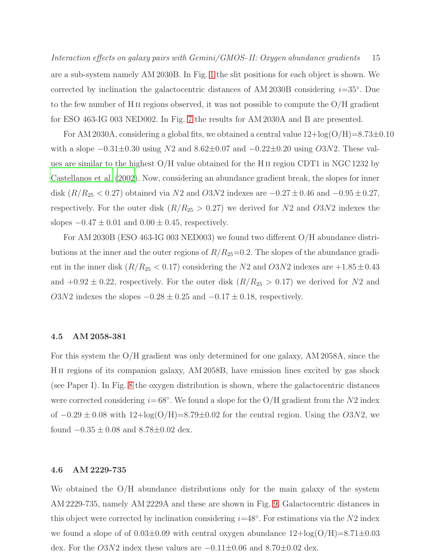Interaction effects on galaxy pairs with Gemini/GMOS- II: Oxygen abundance gradients 15 are a sub-system namely AM 2030B. In Fig. [1](#page-4-0) the slit positions for each object is shown. We corrected by inclination the galactocentric distances of AM 2030B considering  $i=35°$ . Due to the few number of H<sub>II</sub> regions observed, it was not possible to compute the  $O/H$  gradient for ESO 463-IG 003 NED002. In Fig. [7](#page-15-0) the results for AM 2030A and B are presented.

For AM 2030A, considering a global fits, we obtained a central value  $12 + \log(O/H) = 8.73 \pm 0.10$ with a slope  $-0.31\pm0.30$  using  $N2$  and  $8.62\pm0.07$  and  $-0.22\pm0.20$  using  $O3N2$ . These values are similar to the highest O/H value obtained for the H ii region CDT1 in NGC 1232 by [Castellanos et al. \(2002\)](#page-26-27). Now, considering an abundance gradient break, the slopes for inner disk  $(R/R_{25} < 0.27)$  obtained via N2 and O3N2 indexes are  $-0.27 \pm 0.46$  and  $-0.95 \pm 0.27$ , respectively. For the outer disk  $(R/R_{25} > 0.27)$  we derived for N2 and O3N2 indexes the slopes  $-0.47 \pm 0.01$  and  $0.00 \pm 0.45$ , respectively.

For AM 2030B (ESO 463-IG 003 NED003) we found two different O/H abundance distributions at the inner and the outer regions of  $R/R_{25}=0.2$ . The slopes of the abundance gradient in the inner disk ( $R/R_{25} < 0.17$ ) considering the N2 and O3N2 indexes are  $+1.85 \pm 0.43$ and  $+0.92 \pm 0.22$ , respectively. For the outer disk  $(R/R_{25} > 0.17)$  we derived for N2 and O3N2 indexes the slopes  $-0.28 \pm 0.25$  and  $-0.17 \pm 0.18$ , respectively.

#### 4.5 AM 2058-381

For this system the O/H gradient was only determined for one galaxy, AM 2058A, since the H<sub>II</sub> regions of its companion galaxy, AM 2058B, have emission lines excited by gas shock (see Paper I). In Fig. [8](#page-16-1) the oxygen distribution is shown, where the galactocentric distances were corrected considering  $i=68°$ . We found a slope for the O/H gradient from the N2 index of  $-0.29 \pm 0.08$  with  $12 + \log(O/H) = 8.79 \pm 0.02$  for the central region. Using the O3N2, we found  $-0.35 \pm 0.08$  and  $8.78 \pm 0.02$  dex.

# 4.6 AM 2229-735

We obtained the O/H abundance distributions only for the main galaxy of the system AM 2229-735, namely AM 2229A and these are shown in Fig. [9.](#page-17-0) Galactocentric distances in this object were corrected by inclination considering  $i=48^\circ$ . For estimations via the N2 index we found a slope of of  $0.03\pm0.09$  with central oxygen abundance  $12 + \log(O/H) = 8.71 \pm 0.03$ dex. For the  $O3N2$  index these values are  $-0.11\pm0.06$  and  $8.70\pm0.02$  dex.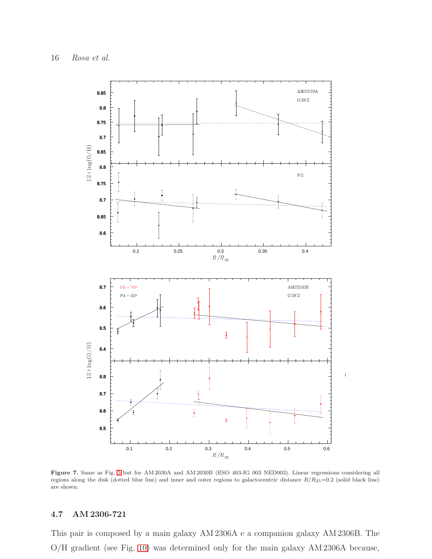

<span id="page-15-0"></span>Figure 7. Same as Fig. [5](#page-12-0) but for AM 2030A and AM 2030B (ESO 463-IG 003 NED003). Linear regressions considering all regions along the disk (dotted blue line) and inner and outer regions to galactocentric distance  $R/R_{25}=0.2$  (solid black line) are shown.

# 4.7 AM 2306-721

This pair is composed by a main galaxy AM 2306A e a companion galaxy AM 2306B. The O/H gradient (see Fig. [10\)](#page-18-0) was determined only for the main galaxy AM 2306A because,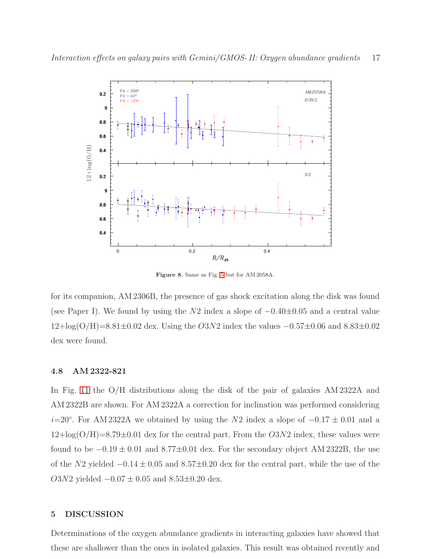

<span id="page-16-1"></span>Figure 8. Same as Fig. [5](#page-12-0) but for AM 2058A.

for its companion, AM 2306B, the presence of gas shock excitation along the disk was found (see Paper I). We found by using the N2 index a slope of −0.40±0.05 and a central value  $12 + \log(O/H) = 8.81 \pm 0.02$  dex. Using the O3N2 index the values  $-0.57 \pm 0.06$  and  $8.83 \pm 0.02$ dex were found.

#### 4.8 AM 2322-821

In Fig. [11](#page-19-0) the O/H distributions along the disk of the pair of galaxies AM 2322A and AM 2322B are shown. For AM 2322A a correction for inclination was performed considering  $i=20^\circ$ . For AM 2322A we obtained by using the N2 index a slope of  $-0.17 \pm 0.01$  and a  $12 + \log(O/H) = 8.79 \pm 0.01$  dex for the central part. From the  $O(3N2)$  index, these values were found to be  $-0.19 \pm 0.01$  and 8.77±0.01 dex. For the secondary object AM 2322B, the use of the N2 yielded  $-0.14 \pm 0.05$  and  $8.57 \pm 0.20$  dex for the central part, while the use of the  $O3N2$  yielded  $-0.07 \pm 0.05$  and  $8.53 \pm 0.20$  dex.

# <span id="page-16-0"></span>5 DISCUSSION

Determinations of the oxygen abundance gradients in interacting galaxies have showed that these are shallower than the ones in isolated galaxies. This result was obtained recently and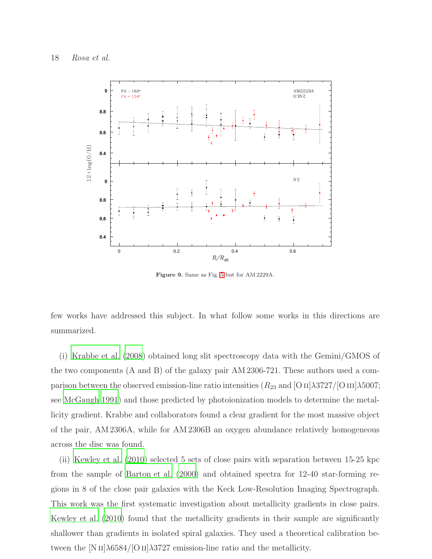

<span id="page-17-0"></span>Figure 9. Same as Fig. [5](#page-12-0) but for AM 2229A.

few works have addressed this subject. In what follow some works in this directions are summarized.

(i) [Krabbe et al. \(2008\)](#page-27-8) obtained long slit spectroscopy data with the Gemini/GMOS of the two components (A and B) of the galaxy pair AM 2306-721. These authors used a comparison between the observed emission-line ratio intensities  $(R_{23} \text{ and } |OII|\lambda3727/|OIII|\lambda5007;$ see [McGaugh 1991\)](#page-27-21) and those predicted by photoionization models to determine the metallicity gradient. Krabbe and collaborators found a clear gradient for the most massive object of the pair, AM 2306A, while for AM 2306B an oxygen abundance relatively homogeneous across the disc was found.

(ii) [Kewley et al. \(2010\)](#page-27-10) selected 5 sets of close pairs with separation between 15-25 kpc from the sample of [Barton et al. \(2000\)](#page-26-13) and obtained spectra for 12-40 star-forming regions in 8 of the close pair galaxies with the Keck Low-Resolution Imaging Spectrograph. This work was the first systematic investigation about metallicity gradients in close pairs. [Kewley et al. \(2010](#page-27-10)) found that the metallicity gradients in their sample are significantly shallower than gradients in isolated spiral galaxies. They used a theoretical calibration between the [N II] $\lambda$ 6584/[O II] $\lambda$ 3727 emission-line ratio and the metallicity.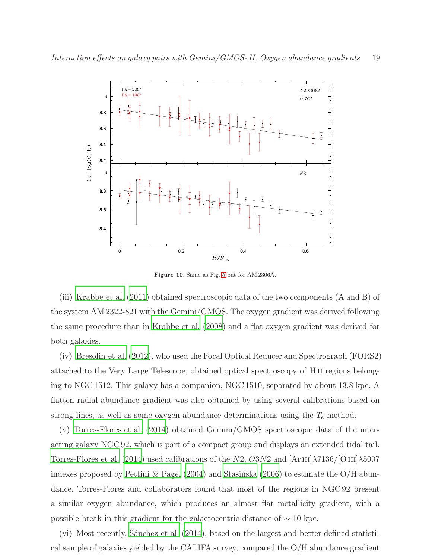

<span id="page-18-0"></span>Figure 10. Same as Fig. [5](#page-12-0) but for AM 2306A.

(iii) [Krabbe et al. \(2011](#page-27-9)) obtained spectroscopic data of the two components (A and B) of the system AM 2322-821 with the Gemini/GMOS. The oxygen gradient was derived following the same procedure than in [Krabbe et al. \(2008](#page-27-8)) and a flat oxygen gradient was derived for both galaxies.

(iv) [Bresolin et al. \(2012](#page-26-19)), who used the Focal Optical Reducer and Spectrograph (FORS2) attached to the Very Large Telescope, obtained optical spectroscopy of H ii regions belonging to NGC 1512. This galaxy has a companion, NGC 1510, separated by about 13.8 kpc. A flatten radial abundance gradient was also obtained by using several calibrations based on strong lines, as well as some oxygen abundance determinations using the  $T_e$ -method.

(v) [Torres-Flores et al. \(2014\)](#page-29-6) obtained Gemini/GMOS spectroscopic data of the interacting galaxy NGC 92, which is part of a compact group and displays an extended tidal tail. [Torres-Flores et al. \(2014\)](#page-29-6) used calibrations of the N2, O3N2 and  $[Ar\,{\rm III}]$  $\lambda$ 7136/ $[O\,{\rm III}]$  $\lambda$ 5007 indexes proposed by [Pettini & Pagel \(2004\)](#page-28-16) and Stasinska (2006) to estimate the O/H abundance. Torres-Flores and collaborators found that most of the regions in NGC 92 present a similar oxygen abundance, which produces an almost flat metallicity gradient, with a possible break in this gradient for the galactocentric distance of  $\sim$  10 kpc.

 $(vi)$  Most recently, Sanchez et al.  $(2014)$ , based on the largest and better defined statistical sample of galaxies yielded by the CALIFA survey, compared the O/H abundance gradient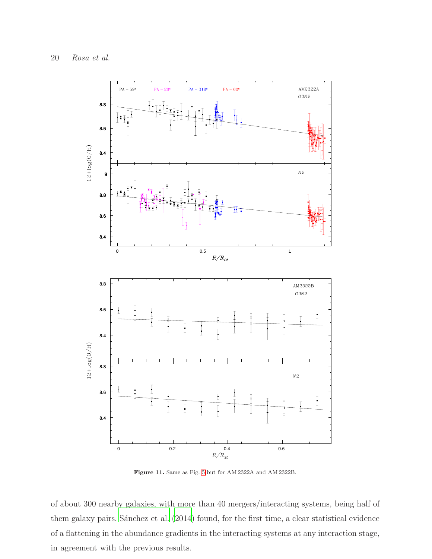

<span id="page-19-0"></span>Figure 11. Same as Fig. [5](#page-12-0) but for AM 2322A and AM 2322B.

of about 300 nearby galaxies, with more than 40 mergers/interacting systems, being half of them galaxy pairs. Sánchez et al. (2014) found, for the first time, a clear statistical evidence of a flattening in the abundance gradients in the interacting systems at any interaction stage, in agreement with the previous results.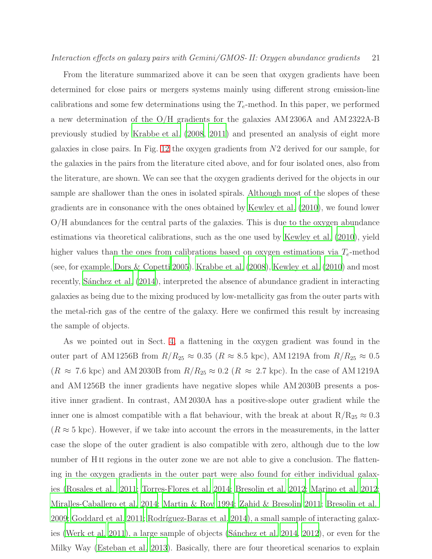From the literature summarized above it can be seen that oxygen gradients have been determined for close pairs or mergers systems mainly using different strong emission-line calibrations and some few determinations using the  $T_e$ -method. In this paper, we performed a new determination of the O/H gradients for the galaxies AM 2306A and AM 2322A-B previously studied by [Krabbe et al. \(2008,](#page-27-8) [2011](#page-27-9)) and presented an analysis of eight more galaxies in close pairs. In Fig. [12](#page-21-0) the oxygen gradients from N2 derived for our sample, for the galaxies in the pairs from the literature cited above, and for four isolated ones, also from the literature, are shown. We can see that the oxygen gradients derived for the objects in our sample are shallower than the ones in isolated spirals. Although most of the slopes of these gradients are in consonance with the ones obtained by [Kewley et al. \(2010\)](#page-27-10), we found lower O/H abundances for the central parts of the galaxies. This is due to the oxygen abundance estimations via theoretical calibrations, such as the one used by [Kewley et al. \(2010](#page-27-10)), yield higher values than the ones from calibrations based on oxygen estimations via  $T_e$ -method (see, for example, [Dors & Copetti 2005\)](#page-26-28). [Krabbe et al. \(2008\)](#page-27-8), [Kewley et al. \(2010\)](#page-27-10) and most recently, Sánchez et al. (2014), interpreted the absence of abundance gradient in interacting galaxies as being due to the mixing produced by low-metallicity gas from the outer parts with the metal-rich gas of the centre of the galaxy. Here we confirmed this result by increasing the sample of objects.

As we pointed out in Sect. [4,](#page-9-0) a flattening in the oxygen gradient was found in the outer part of AM 1256B from  $R/R_{25} \approx 0.35$   $(R \approx 8.5 \text{ kpc})$ , AM 1219A from  $R/R_{25} \approx 0.5$  $(R \approx 7.6 \text{ kpc})$  and AM 2030B from  $R/R_{25} \approx 0.2 (R \approx 2.7 \text{ kpc})$ . In the case of AM 1219A and AM 1256B the inner gradients have negative slopes while AM 2030B presents a positive inner gradient. In contrast, AM 2030A has a positive-slope outer gradient while the inner one is almost compatible with a flat behaviour, with the break at about  $R/R_{25} \approx 0.3$  $(R \approx 5 \text{ kpc})$ . However, if we take into account the errors in the measurements, in the latter case the slope of the outer gradient is also compatible with zero, although due to the low number of H<sub>II</sub> regions in the outer zone we are not able to give a conclusion. The flattening in the oxygen gradients in the outer part were also found for either individual galaxies [\(Rosales et al. 2011;](#page-28-23) [Torres-Flores et al. 2014](#page-29-6); [Bresolin et al. 2012;](#page-26-19) [Marino et al. 2012;](#page-27-22) [Miralles-Caballero et al. 2014](#page-27-7); [Martin & Roy 1994;](#page-27-23) [Zahid & Bresolin 2011](#page-29-8); [Bresolin et al.](#page-26-10) [2009;](#page-26-10) [Goddard et al. 2011](#page-27-24); Rodríguez-Baras et al. 2014), a small sample of interacting galax-ies [\(Werk et al. 2011\)](#page-29-9), a large sample of objects (Sánchez et al. 2014, [2012\)](#page-28-7), or even for the Milky Way [\(Esteban et al. 2013](#page-26-3)). Basically, there are four theoretical scenarios to explain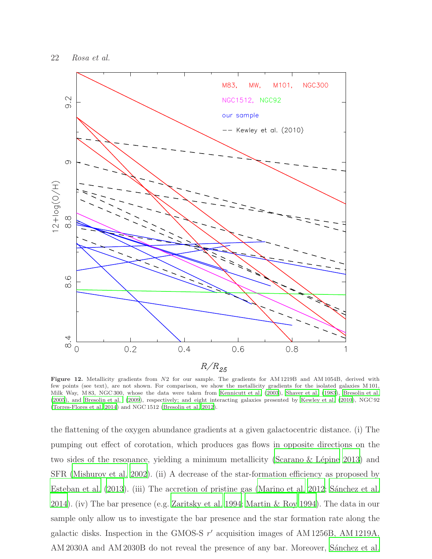

<span id="page-21-0"></span>Figure 12. Metallicity gradients from N2 for our sample. The gradients for AM 1219B and AM 1054B, derived with few points (see text), are not shown. For comparison, we show the metallicity gradients for the isolated galaxies M 101, Milk Way, M 83, NGC 300, whose the data were taken from [Kennicutt et al. \(2003](#page-27-15)), [Shaver et al. \(1983](#page-28-25)), [Bresolin et al.](#page-26-29) [\(2005](#page-26-29)), and [Bresolin et al. \(2009](#page-26-10)), respectively; and eight interacting galaxies presented by [Kewley et al. \(2010](#page-27-10)), NGC 92 [\(Torres-Flores et al. 2014](#page-29-6)) and NGC 1512 [\(Bresolin et al. 2012\)](#page-26-19).

the flattening of the oxygen abundance gradients at a given galactocentric distance. (i) The pumping out effect of corotation, which produces gas flows in opposite directions on the two sides of the resonance, yielding a minimum metallicity (Scarano & Lépine 2013) and SFR [\(Mishurov et al. 2002\)](#page-28-27). (ii) A decrease of the star-formation efficiency as proposed by [Esteban et al. \(2013](#page-26-3)). (iii) The accretion of pristine gas [\(Marino et al. 2012](#page-27-22); Sánchez et al. [2014\)](#page-28-5). (iv) The bar presence (e.g. [Zaritsky et al. 1994](#page-29-3); [Martin & Roy 1994\)](#page-27-6). The data in our sample only allow us to investigate the bar presence and the star formation rate along the galactic disks. Inspection in the GMOS-S  $r'$  acquisition images of AM 1256B, AM 1219A, AM 2030A and AM 2030B do not reveal the presence of any bar. Moreover, Sánchez et al.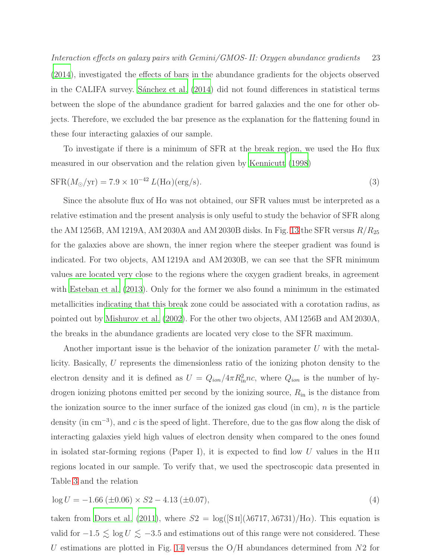Interaction effects on galaxy pairs with Gemini/GMOS- II: Oxygen abundance gradients 23 [\(2014\)](#page-28-5), investigated the effects of bars in the abundance gradients for the objects observed in the CALIFA survey. Sánchez et al.  $(2014)$  did not found differences in statistical terms between the slope of the abundance gradient for barred galaxies and the one for other objects. Therefore, we excluded the bar presence as the explanation for the flattening found in these four interacting galaxies of our sample.

To investigate if there is a minimum of SFR at the break region, we used the H $\alpha$  flux measured in our observation and the relation given by [Kennicutt \(1998\)](#page-27-25)

$$
SFR(M_{\odot}/yr) = 7.9 \times 10^{-42} L(H\alpha)(\text{erg/s}).
$$
\n(3)

Since the absolute flux of  $H\alpha$  was not obtained, our SFR values must be interpreted as a relative estimation and the present analysis is only useful to study the behavior of SFR along the AM 1256B, AM 1219A, AM 2030A and AM 2030B disks. In Fig. [13](#page-23-0) the SFR versus  $R/R_{25}$ for the galaxies above are shown, the inner region where the steeper gradient was found is indicated. For two objects, AM 1219A and AM 2030B, we can see that the SFR minimum values are located very close to the regions where the oxygen gradient breaks, in agreement with [Esteban et al. \(2013\)](#page-26-3). Only for the former we also found a minimum in the estimated metallicities indicating that this break zone could be associated with a corotation radius, as pointed out by [Mishurov et al. \(2002](#page-28-27)). For the other two objects, AM 1256B and AM 2030A, the breaks in the abundance gradients are located very close to the SFR maximum.

Another important issue is the behavior of the ionization parameter U with the metallicity. Basically, U represents the dimensionless ratio of the ionizing photon density to the electron density and it is defined as  $U = Q_{ion}/4\pi R_{in}^2 n c$ , where  $Q_{ion}$  is the number of hydrogen ionizing photons emitted per second by the ionizing source,  $R_{\rm in}$  is the distance from the ionization source to the inner surface of the ionized gas cloud (in cm),  $n$  is the particle density (in cm<sup>−</sup><sup>3</sup> ), and c is the speed of light. Therefore, due to the gas flow along the disk of interacting galaxies yield high values of electron density when compared to the ones found in isolated star-forming regions (Paper I), it is expected to find low U values in the H $\scriptstyle\rm II$ regions located in our sample. To verify that, we used the spectroscopic data presented in Table [3](#page-7-2) and the relation

<span id="page-22-0"></span>
$$
\log U = -1.66 \, (\pm 0.06) \times S2 - 4.13 \, (\pm 0.07), \tag{4}
$$

taken from [Dors et al. \(2011\)](#page-26-25), where  $S2 = \log(|S_{II}|(\lambda 6717, \lambda 6731)/\text{H}\alpha)$ . This equation is valid for  $-1.5 \le \log U \le -3.5$  and estimations out of this range were not considered. These U estimations are plotted in Fig. [14](#page-24-1) versus the  $O/H$  abundances determined from  $N2$  for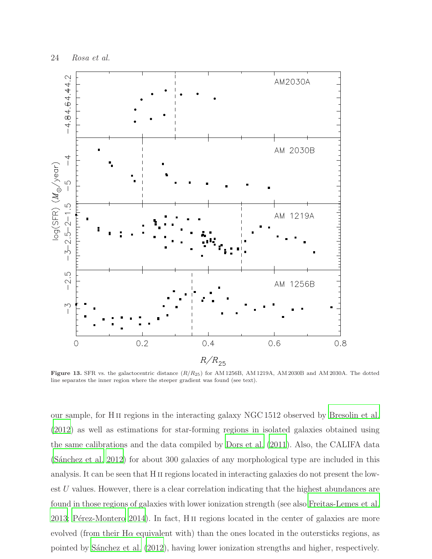

<span id="page-23-0"></span>Figure 13. SFR vs. the galactocentric distance  $(R/R_{25})$  for AM 1256B, AM 1219A, AM 2030B and AM 2030A. The dotted line separates the inner region where the steeper gradient was found (see text).

our sample, for H ii regions in the interacting galaxy NGC 1512 observed by [Bresolin et al.](#page-26-19) [\(2012\)](#page-26-19) as well as estimations for star-forming regions in isolated galaxies obtained using the same calibrations and the data compiled by [Dors et al. \(2011](#page-26-25)). Also, the CALIFA data (Sánchez et al. 2012) for about 300 galaxies of any morphological type are included in this analysis. It can be seen that H II regions located in interacting galaxies do not present the lowest  $U$  values. However, there is a clear correlation indicating that the highest abundances are found in those regions of galaxies with lower ionization strength (see also [Freitas-Lemes et al.](#page-26-30) [2013;](#page-26-30) Pérez-Montero 2014). In fact, H  $\mu$  regions located in the center of galaxies are more evolved (from their H $\alpha$  equivalent with) than the ones located in the outersticks regions, as pointed by Sánchez et al. (2012), having lower ionization strengths and higher, respectively.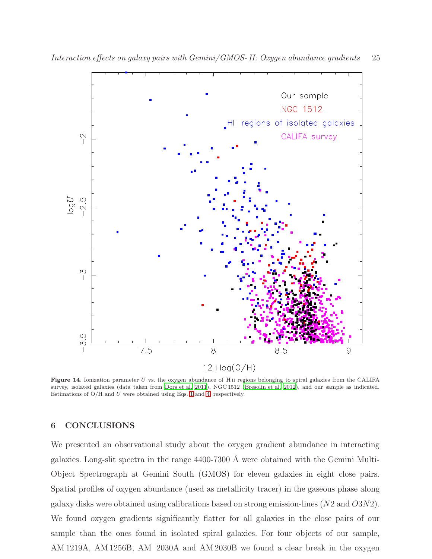

<span id="page-24-1"></span>Figure 14. Ionization parameter  $U$  vs. the oxygen abundance of H<sub>II</sub> regions belonging to spiral galaxies from the CALIFA survey, isolated galaxies (data taken from [Dors et al. 2011](#page-26-25)), NGC 1512 [\(Bresolin et al. 2012](#page-26-19)), and our sample as indicated. Estimations of  $O/H$  and U were obtained using Eqs. [1](#page-8-1) and [4,](#page-22-0) respectively.

# <span id="page-24-0"></span>6 CONCLUSIONS

We presented an observational study about the oxygen gradient abundance in interacting galaxies. Long-slit spectra in the range  $4400-7300$  Å were obtained with the Gemini Multi-Object Spectrograph at Gemini South (GMOS) for eleven galaxies in eight close pairs. Spatial profiles of oxygen abundance (used as metallicity tracer) in the gaseous phase along galaxy disks were obtained using calibrations based on strong emission-lines (N2 and O3N2). We found oxygen gradients significantly flatter for all galaxies in the close pairs of our sample than the ones found in isolated spiral galaxies. For four objects of our sample, AM 1219A, AM 1256B, AM 2030A and AM 2030B we found a clear break in the oxygen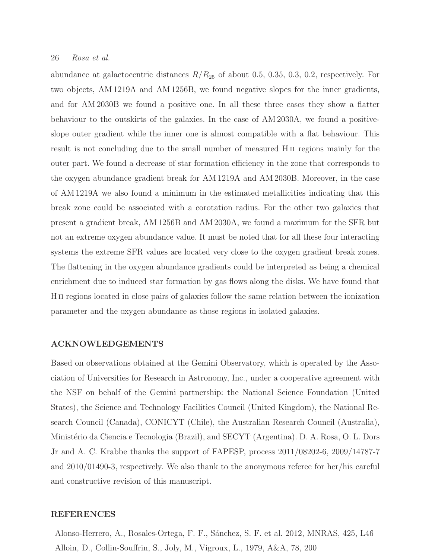# 26 Rosa et al.

abundance at galactocentric distances  $R/R_{25}$  of about 0.5, 0.35, 0.3, 0.2, respectively. For two objects, AM 1219A and AM 1256B, we found negative slopes for the inner gradients, and for AM 2030B we found a positive one. In all these three cases they show a flatter behaviour to the outskirts of the galaxies. In the case of AM 2030A, we found a positiveslope outer gradient while the inner one is almost compatible with a flat behaviour. This result is not concluding due to the small number of measured H<sub>II</sub> regions mainly for the outer part. We found a decrease of star formation efficiency in the zone that corresponds to the oxygen abundance gradient break for AM 1219A and AM 2030B. Moreover, in the case of AM 1219A we also found a minimum in the estimated metallicities indicating that this break zone could be associated with a corotation radius. For the other two galaxies that present a gradient break, AM 1256B and AM 2030A, we found a maximum for the SFR but not an extreme oxygen abundance value. It must be noted that for all these four interacting systems the extreme SFR values are located very close to the oxygen gradient break zones. The flattening in the oxygen abundance gradients could be interpreted as being a chemical enrichment due to induced star formation by gas flows along the disks. We have found that H ii regions located in close pairs of galaxies follow the same relation between the ionization parameter and the oxygen abundance as those regions in isolated galaxies.

#### ACKNOWLEDGEMENTS

Based on observations obtained at the Gemini Observatory, which is operated by the Association of Universities for Research in Astronomy, Inc., under a cooperative agreement with the NSF on behalf of the Gemini partnership: the National Science Foundation (United States), the Science and Technology Facilities Council (United Kingdom), the National Research Council (Canada), CONICYT (Chile), the Australian Research Council (Australia), Minist´erio da Ciencia e Tecnologia (Brazil), and SECYT (Argentina). D. A. Rosa, O. L. Dors Jr and A. C. Krabbe thanks the support of FAPESP, process 2011/08202-6, 2009/14787-7 and 2010/01490-3, respectively. We also thank to the anonymous referee for her/his careful and constructive revision of this manuscript.

# REFERENCES

<span id="page-25-1"></span><span id="page-25-0"></span>Alonso-Herrero, A., Rosales-Ortega, F. F., S´anchez, S. F. et al. 2012, MNRAS, 425, L46 Alloin, D., Collin-Souffrin, S., Joly, M., Vigroux, L., 1979, A&A, 78, 200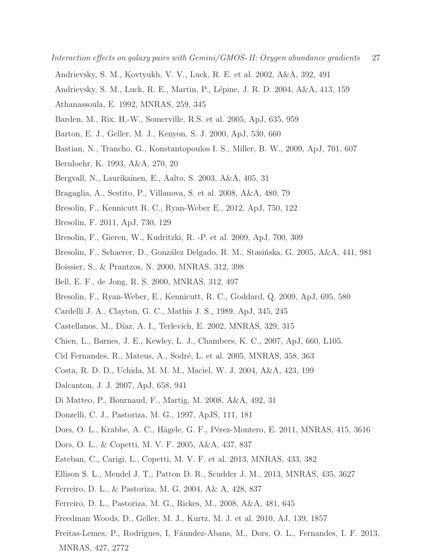- Interaction effects on galaxy pairs with Gemini/GMOS- II: Oxygen abundance gradients 27
- <span id="page-26-1"></span>Andrievsky, S. M., Kovtyukh, V. V., Luck, R. E. et al. 2002, A&A, 392, 491
- <span id="page-26-8"></span><span id="page-26-2"></span>Andrievsky, S. M., Luck, R. E., Martin, P., L´epine, J. R. D. 2004, A&A, 413, 159
- Athanassoula, E. 1992, MNRAS, 259, 345
- <span id="page-26-7"></span>Barden, M., Rix, H.-W., Somerville, R.S. et al. 2005, ApJ, 635, 959
- <span id="page-26-13"></span><span id="page-26-12"></span>Barton, E. J., Geller, M. J., Kenyon, S. J. 2000, ApJ, 530, 660
- Bastian, N., Trancho, G., Konstantopoulos I. S., Miller, B. W., 2009, ApJ, 701, 607
- <span id="page-26-15"></span>Bernloehr, K. 1993, A&A, 270, 20
- <span id="page-26-16"></span><span id="page-26-0"></span>Bergvall, N., Laurikainen, E., Aalto, S. 2003, A&A, 405, 31
- <span id="page-26-19"></span>Bragaglia, A., Sestito, P., Villanova, S. et al. 2008, A&A, 480, 79
- <span id="page-26-26"></span>Bresolin, F., Kennicutt R. C., Ryan-Weber E., 2012, ApJ, 750, 122
- Bresolin, F. 2011, ApJ, 730, 129
- <span id="page-26-29"></span>Bresolin, F., Gieren, W., Kudritzki, R. -P. et al. 2009, ApJ, 700, 309
- Bresolin, F., Schaerer, D., González Delgado, R. M., Stasińska, G. 2005, A&A, 441, 981
- <span id="page-26-5"></span>Boissier, S., & Prantzos, N. 2000, MNRAS, 312, 398
- <span id="page-26-6"></span>Bell, E. F., de Jong, R. S. 2000, MNRAS, 312, 497
- <span id="page-26-10"></span>Bresolin, F., Ryan-Weber, E., Kennicutt, R. C., Goddard, Q. 2009, ApJ, 695, 580
- <span id="page-26-24"></span>Cardelli J. A., Clayton, G. C., Mathis J. S., 1989, ApJ, 345, 245
- <span id="page-26-27"></span>Castellanos, M., Díaz, A. I., Terlevich, E. 2002, MNRAS, 329, 315
- <span id="page-26-11"></span>Chien, L., Barnes, J. E., Kewley, L. J., Chambers, K. C., 2007, ApJ, 660, L105.
- <span id="page-26-23"></span>Cid Fernandes, R., Mateus, A., Sodré, L. et al. 2005, MNRAS, 358, 363
- <span id="page-26-4"></span>Costa, R. D. D., Uchida, M. M. M., Maciel, W. J. 2004, A&A, 423, 199
- <span id="page-26-9"></span>Dalcanton, J. J. 2007, ApJ, 658, 941
- <span id="page-26-17"></span>Di Matteo, P., Bournaud, F., Martig, M. 2008, A&A, 492, 31
- <span id="page-26-21"></span>Donzelli, C. J., Pastoriza, M. G., 1997, ApJS, 111, 181
- <span id="page-26-25"></span>Dors, O. L., Krabbe, A. C., Hägele, G. F., Pérez-Montero, E. 2011, MNRAS, 415, 3616
- <span id="page-26-28"></span>Dors, O. L., & Copetti, M. V. F. 2005, A&A, 437, 837
- <span id="page-26-3"></span>Esteban, C., Carigi, L., Copetti, M. V. F. et al. 2013, MNRAS, 433, 382
- <span id="page-26-14"></span>Ellison S. L., Mendel J. T., Patton D. R., Scudder J. M., 2013, MNRAS, 435, 3627
- <span id="page-26-20"></span>Ferreiro, D. L., & Pastoriza, M. G. 2004, A& A, 428, 837
- <span id="page-26-22"></span>Ferreiro, D. L., Pastoriza, M. G., Rickes, M., 2008, A&A, 481, 645
- <span id="page-26-18"></span>Freedman Woods, D., Geller, M. J., Kurtz, M. J. et al. 2010, AJ, 139, 1857
- <span id="page-26-30"></span>Freitas-Lemes, P., Rodrigues, I, Fáundez-Abans, M., Dors, O. L., Fernandes, I. F. 2013, MNRAS, 427, 2772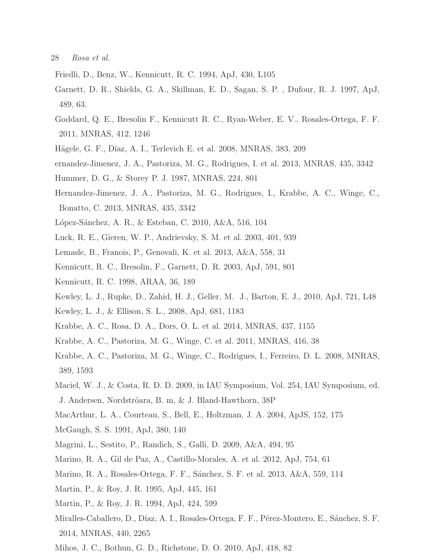28 Rosa et al.

- <span id="page-27-5"></span>Friedli, D., Benz, W., Kennicutt, R. C. 1994, ApJ, 430, L105
- <span id="page-27-16"></span>Garnett, D. R., Shields, G. A., Skillman, E. D., Sagan, S. P. , Dufour, R. J. 1997, ApJ, 489, 63.
- <span id="page-27-24"></span>Goddard, Q. E., Bresolin F., Kennicutt R. C., Ryan-Weber, E. V., Rosales-Ortega, F. F. 2011, MNRAS, 412, 1246
- <span id="page-27-19"></span>Hägele, G. F., Díaz, A. I., Terlevich E. et al. 2008, MNRAS, 383, 209
- <span id="page-27-14"></span>ernandez-Jimenez, J. A., Pastoriza, M. G., Rodrigues, I. et al. 2013, MNRAS, 435, 3342
- <span id="page-27-13"></span>Hummer, D. G., & Storey P. J. 1987, MNRAS, 224, 801
- Hernandez-Jimenez, J. A., Pastoriza, M. G., Rodrigues, I., Krabbe, A. C., Winge, C., Bonatto, C. 2013, MNRAS, 435, 3342
- <span id="page-27-18"></span><span id="page-27-1"></span>López-Sánchez, A. R., & Esteban, C. 2010, A&A, 516, 104
- <span id="page-27-2"></span>Luck, R. E., Gieren, W. P., Andrievsky, S. M. et al. 2003, 401, 939
- <span id="page-27-15"></span>Lemasle, B., Franois, P., Genovali, K. et al. 2013, A&A, 558, 31
- <span id="page-27-25"></span>Kennicutt, R. C., Bresolin, F., Garnett, D. R. 2003, ApJ, 591, 801
- Kennicutt, R. C. 1998, ARAA, 36, 189
- <span id="page-27-10"></span>Kewley, L. J., Rupke, D., Zahid, H. J., Geller, M. J., Barton, E. J., 2010, ApJ, 721, L48
- <span id="page-27-20"></span>Kewley, L. J., & Ellison, S. L., 2008, ApJ, 681, 1183
- <span id="page-27-12"></span>Krabbe, A. C., Rosa, D. A., Dors, O. L. et al. 2014, MNRAS, 437, 1155
- <span id="page-27-9"></span>Krabbe, A. C., Pastoriza, M. G., Winge, C. et al. 2011, MNRAS, 416, 38
- <span id="page-27-8"></span>Krabbe, A. C., Pastoriza, M. G., Winge, C., Rodrigues, I., Ferreiro, D. L. 2008, MNRAS, 389, 1593
- <span id="page-27-3"></span>Maciel, W. J., & Costa, R. D. D. 2009, in IAU Symposium, Vol. 254, IAU Symposium, ed. J. Andersen, Nordströara, B. m, & J. Bland-Hawthorn, 38P
- <span id="page-27-4"></span>MacArthur, L. A., Courteau, S., Bell, E., Holtzman, J. A. 2004, ApJS, 152, 175
- <span id="page-27-21"></span>McGaugh, S. S. 1991, ApJ, 380, 140
- <span id="page-27-0"></span>Magrini, L., Sestito, P., Randich, S., Galli, D. 2009, A&A, 494, 95
- <span id="page-27-22"></span>Marino, R. A., Gil de Paz, A., Castillo-Morales, A. et al. 2012, ApJ, 754, 61
- <span id="page-27-17"></span>Marino, R. A., Rosales-Ortega, F. F., Sánchez, S. F. et al. 2013, A&A, 559, 114
- <span id="page-27-23"></span>Martin, P., & Roy, J. R. 1995, ApJ, 445, 161
- <span id="page-27-6"></span>Martin, P., & Roy, J. R. 1994, ApJ, 424, 599
- <span id="page-27-7"></span>Miralles-Caballero, D., Díaz, A. I., Rosales-Ortega, F. F., Pérez-Montero, E., Sánchez, S. F. 2014, MNRAS, 440, 2265
- <span id="page-27-11"></span>Mihos, J. C., Bothun, G. D., Richstone, D. O. 2010, ApJ, 418, 82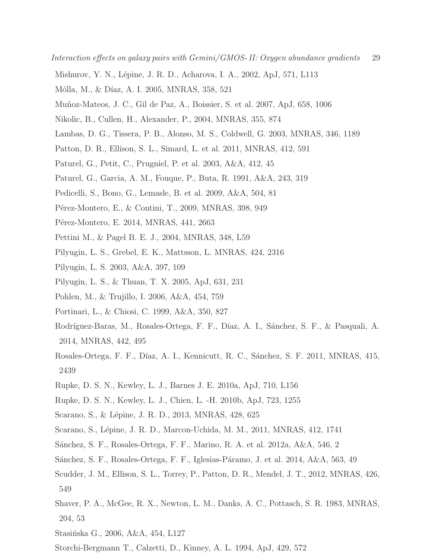- <span id="page-28-27"></span><span id="page-28-2"></span>Mishurov, Y. N., Lépine, J. R. D., Acharova, I. A., 2002, ApJ, 571, L113
- Mólla, M., & Díaz, A. I. 2005, MNRAS, 358, 521
- <span id="page-28-4"></span>Mu˜noz-Mateos, J. C., Gil de Paz, A., Boissier, S. et al. 2007, ApJ, 658, 1006
- <span id="page-28-9"></span>Nikolic, B., Cullen, H., Alexander, P., 2004, MNRAS, 355, 874
- <span id="page-28-11"></span><span id="page-28-10"></span>Lambas, D. G., Tissera, P. B., Alonso, M. S., Coldwell, G. 2003, MNRAS, 346, 1189
- <span id="page-28-12"></span>Patton, D. R., Ellison, S. L., Simard, L. et al. 2011, MNRAS, 412, 591
- <span id="page-28-13"></span>Paturel, G., Petit, C., Prugniel, P. et al. 2003, A&A, 412, 45
- <span id="page-28-0"></span>Paturel, G., Garcia, A. M., Fouque, P., Buta, R. 1991, A&A, 243, 319
- <span id="page-28-15"></span>Pedicelli, S., Bono, G., Lemasle, B. et al. 2009, A&A, 504, 81
- <span id="page-28-28"></span>Pérez-Montero, E., & Contini, T., 2009, MNRAS, 398, 949
- <span id="page-28-16"></span>Pérez-Montero, E. 2014, MNRAS, 441, 2663
- <span id="page-28-20"></span>Pettini M., & Pagel B. E. J., 2004, MNRAS, 348, L59
- Pilyugin, L. S., Grebel, E. K., Mattsson, L. MNRAS, 424, 2316
- <span id="page-28-17"></span>Pilyugin, L. S. 2003, A&A, 397, 109
- <span id="page-28-19"></span>Pilyugin, L. S., & Thuan, T. X. 2005, ApJ, 631, 231
- <span id="page-28-3"></span>Pohlen, M., & Trujillo, I. 2006, A&A, 454, 759
- <span id="page-28-1"></span>Portinari, L., & Chiosi, C. 1999, A&A, 350, 827
- <span id="page-28-24"></span>Rodríguez-Baras, M., Rosales-Ortega, F. F., Díaz, A. I., Sánchez, S. F., & Pasquali, A. 2014, MNRAS, 442, 495
- <span id="page-28-23"></span>Rosales-Ortega, F. F., Díaz, A. I., Kennicutt, R. C., Sánchez, S. F. 2011, MNRAS, 415, 2439
- <span id="page-28-6"></span>Rupke, D. S. N., Kewley, L. J., Barnes J. E. 2010a, ApJ, 710, L156
- <span id="page-28-21"></span>Rupke, D. S. N., Kewley, L. J., Chien, L. -H. 2010b, ApJ, 723, 1255
- <span id="page-28-26"></span>Scarano, S., & Lépine, J. R. D., 2013, MNRAS, 428, 625
- <span id="page-28-18"></span>Scarano, S., Lépine, J. R. D., Marcon-Uchida, M. M., 2011, MNRAS, 412, 1741
- <span id="page-28-7"></span>S´anchez, S. F., Rosales-Ortega, F. F., Marino, R. A. et al. 2012a, A&A, 546, 2
- <span id="page-28-5"></span>Sánchez, S. F., Rosales-Ortega, F. F., Iglesias-Páramo, J. et al. 2014, A&A, 563, 49
- <span id="page-28-8"></span>Scudder, J. M., Ellison, S. L., Torrey, P., Patton, D. R., Mendel, J. T., 2012, MNRAS, 426, 549
- <span id="page-28-25"></span>Shaver, P. A., McGee, R. X., Newton, L. M., Danks, A. C., Pottasch, S. R. 1983, MNRAS, 204, 53
- <span id="page-28-22"></span>Stasińska G., 2006, A&A, 454, L127
- <span id="page-28-14"></span>Storchi-Bergmann T., Calzetti, D., Kinney, A. L. 1994, ApJ, 429, 572